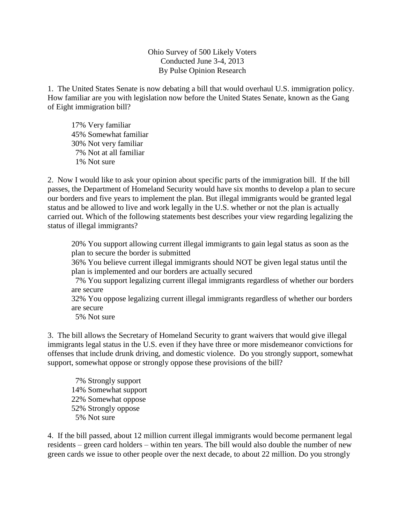Ohio Survey of 500 Likely Voters Conducted June 3-4, 2013 By Pulse Opinion Research

1. The United States Senate is now debating a bill that would overhaul U.S. immigration policy. How familiar are you with legislation now before the United States Senate, known as the Gang of Eight immigration bill?

17% Very familiar 45% Somewhat familiar 30% Not very familiar 7% Not at all familiar 1% Not sure

2. Now I would like to ask your opinion about specific parts of the immigration bill. If the bill passes, the Department of Homeland Security would have six months to develop a plan to secure our borders and five years to implement the plan. But illegal immigrants would be granted legal status and be allowed to live and work legally in the U.S. whether or not the plan is actually carried out. Which of the following statements best describes your view regarding legalizing the status of illegal immigrants?

20% You support allowing current illegal immigrants to gain legal status as soon as the plan to secure the border is submitted

36% You believe current illegal immigrants should NOT be given legal status until the plan is implemented and our borders are actually secured

 7% You support legalizing current illegal immigrants regardless of whether our borders are secure

32% You oppose legalizing current illegal immigrants regardless of whether our borders are secure

5% Not sure

3. The bill allows the Secretary of Homeland Security to grant waivers that would give illegal immigrants legal status in the U.S. even if they have three or more misdemeanor convictions for offenses that include drunk driving, and domestic violence. Do you strongly support, somewhat support, somewhat oppose or strongly oppose these provisions of the bill?

 7% Strongly support 14% Somewhat support 22% Somewhat oppose 52% Strongly oppose 5% Not sure

4. If the bill passed, about 12 million current illegal immigrants would become permanent legal residents – green card holders – within ten years. The bill would also double the number of new green cards we issue to other people over the next decade, to about 22 million. Do you strongly